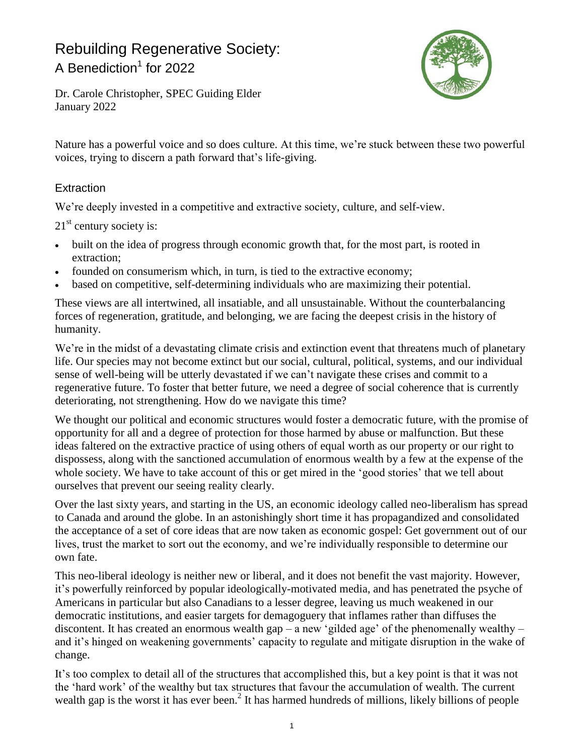# Rebuilding Regenerative Society: A Benediction<sup>1</sup> for 2022



Dr. Carole Christopher, SPEC Guiding Elder January 2022

Nature has a powerful voice and so does culture. At this time, we're stuck between these two powerful voices, trying to discern a path forward that's life-giving.

## **Extraction**

We're deeply invested in a competitive and extractive society, culture, and self-view.

 $21<sup>st</sup>$  century society is:

- built on the idea of progress through economic growth that, for the most part, is rooted in extraction;
- founded on consumerism which, in turn, is tied to the extractive economy;
- based on competitive, self-determining individuals who are maximizing their potential.

These views are all intertwined, all insatiable, and all unsustainable. Without the counterbalancing forces of regeneration, gratitude, and belonging, we are facing the deepest crisis in the history of humanity.

We're in the midst of a devastating climate crisis and extinction event that threatens much of planetary life. Our species may not become extinct but our social, cultural, political, systems, and our individual sense of well-being will be utterly devastated if we can't navigate these crises and commit to a regenerative future. To foster that better future, we need a degree of social coherence that is currently deteriorating, not strengthening. How do we navigate this time?

We thought our political and economic structures would foster a democratic future, with the promise of opportunity for all and a degree of protection for those harmed by abuse or malfunction. But these ideas faltered on the extractive practice of using others of equal worth as our property or our right to dispossess, along with the sanctioned accumulation of enormous wealth by a few at the expense of the whole society. We have to take account of this or get mired in the 'good stories' that we tell about ourselves that prevent our seeing reality clearly.

Over the last sixty years, and starting in the US, an economic ideology called neo-liberalism has spread to Canada and around the globe. In an astonishingly short time it has propagandized and consolidated the acceptance of a set of core ideas that are now taken as economic gospel: Get government out of our lives, trust the market to sort out the economy, and we're individually responsible to determine our own fate.

This neo-liberal ideology is neither new or liberal, and it does not benefit the vast majority. However, it's powerfully reinforced by popular ideologically-motivated media, and has penetrated the psyche of Americans in particular but also Canadians to a lesser degree, leaving us much weakened in our democratic institutions, and easier targets for demagoguery that inflames rather than diffuses the discontent. It has created an enormous wealth gap – a new 'gilded age' of the phenomenally wealthy – and it's hinged on weakening governments' capacity to regulate and mitigate disruption in the wake of change.

It's too complex to detail all of the structures that accomplished this, but a key point is that it was not the 'hard work' of the wealthy but tax structures that favour the accumulation of wealth. The current wealth gap is the worst it has ever been.<sup>2</sup> It has harmed hundreds of millions, likely billions of people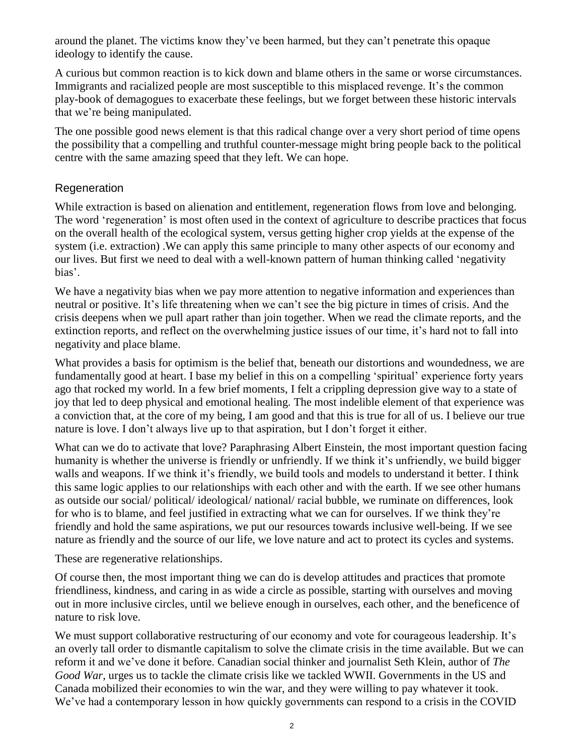around the planet. The victims know they've been harmed, but they can't penetrate this opaque ideology to identify the cause.

A curious but common reaction is to kick down and blame others in the same or worse circumstances. Immigrants and racialized people are most susceptible to this misplaced revenge. It's the common play-book of demagogues to exacerbate these feelings, but we forget between these historic intervals that we're being manipulated.

The one possible good news element is that this radical change over a very short period of time opens the possibility that a compelling and truthful counter-message might bring people back to the political centre with the same amazing speed that they left. We can hope.

### Regeneration

While extraction is based on alienation and entitlement, regeneration flows from love and belonging. The word 'regeneration' is most often used in the context of agriculture to describe practices that focus on the overall health of the ecological system, versus getting higher crop yields at the expense of the system (i.e. extraction) .We can apply this same principle to many other aspects of our economy and our lives. But first we need to deal with a well-known pattern of human thinking called 'negativity bias'.

We have a negativity bias when we pay more attention to negative information and experiences than neutral or positive. It's life threatening when we can't see the big picture in times of crisis. And the crisis deepens when we pull apart rather than join together. When we read the climate reports, and the extinction reports, and reflect on the overwhelming justice issues of our time, it's hard not to fall into negativity and place blame.

What provides a basis for optimism is the belief that, beneath our distortions and woundedness, we are fundamentally good at heart. I base my belief in this on a compelling 'spiritual' experience forty years ago that rocked my world. In a few brief moments, I felt a crippling depression give way to a state of joy that led to deep physical and emotional healing. The most indelible element of that experience was a conviction that, at the core of my being, I am good and that this is true for all of us. I believe our true nature is love. I don't always live up to that aspiration, but I don't forget it either.

What can we do to activate that love? Paraphrasing Albert Einstein, the most important question facing humanity is whether the universe is friendly or unfriendly. If we think it's unfriendly, we build bigger walls and weapons. If we think it's friendly, we build tools and models to understand it better. I think this same logic applies to our relationships with each other and with the earth. If we see other humans as outside our social/ political/ ideological/ national/ racial bubble, we ruminate on differences, look for who is to blame, and feel justified in extracting what we can for ourselves. If we think they're friendly and hold the same aspirations, we put our resources towards inclusive well-being. If we see nature as friendly and the source of our life, we love nature and act to protect its cycles and systems.

These are regenerative relationships.

Of course then, the most important thing we can do is develop attitudes and practices that promote friendliness, kindness, and caring in as wide a circle as possible, starting with ourselves and moving out in more inclusive circles, until we believe enough in ourselves, each other, and the beneficence of nature to risk love.

We must support collaborative restructuring of our economy and vote for courageous leadership. It's an overly tall order to dismantle capitalism to solve the climate crisis in the time available. But we can reform it and we've done it before. Canadian social thinker and journalist Seth Klein, author of *The Good War*, urges us to tackle the climate crisis like we tackled WWII. Governments in the US and Canada mobilized their economies to win the war, and they were willing to pay whatever it took. We've had a contemporary lesson in how quickly governments can respond to a crisis in the COVID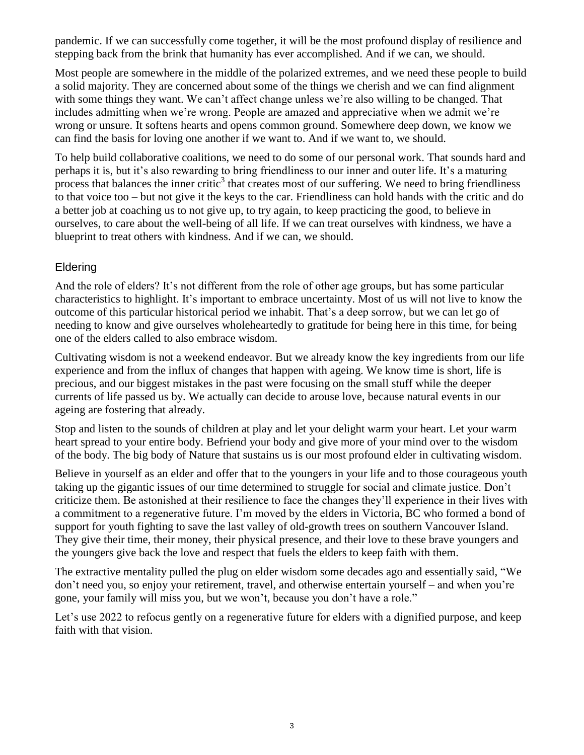pandemic. If we can successfully come together, it will be the most profound display of resilience and stepping back from the brink that humanity has ever accomplished. And if we can, we should.

Most people are somewhere in the middle of the polarized extremes, and we need these people to build a solid majority. They are concerned about some of the things we cherish and we can find alignment with some things they want. We can't affect change unless we're also willing to be changed. That includes admitting when we're wrong. People are amazed and appreciative when we admit we're wrong or unsure. It softens hearts and opens common ground. Somewhere deep down, we know we can find the basis for loving one another if we want to. And if we want to, we should.

To help build collaborative coalitions, we need to do some of our personal work. That sounds hard and perhaps it is, but it's also rewarding to bring friendliness to our inner and outer life. It's a maturing process that balances the inner critic<sup>3</sup> that creates most of our suffering. We need to bring friendliness to that voice too – but not give it the keys to the car. Friendliness can hold hands with the critic and do a better job at coaching us to not give up, to try again, to keep practicing the good, to believe in ourselves, to care about the well-being of all life. If we can treat ourselves with kindness, we have a blueprint to treat others with kindness. And if we can, we should.

## **Eldering**

And the role of elders? It's not different from the role of other age groups, but has some particular characteristics to highlight. It's important to embrace uncertainty. Most of us will not live to know the outcome of this particular historical period we inhabit. That's a deep sorrow, but we can let go of needing to know and give ourselves wholeheartedly to gratitude for being here in this time, for being one of the elders called to also embrace wisdom.

Cultivating wisdom is not a weekend endeavor. But we already know the key ingredients from our life experience and from the influx of changes that happen with ageing. We know time is short, life is precious, and our biggest mistakes in the past were focusing on the small stuff while the deeper currents of life passed us by. We actually can decide to arouse love, because natural events in our ageing are fostering that already.

Stop and listen to the sounds of children at play and let your delight warm your heart. Let your warm heart spread to your entire body. Befriend your body and give more of your mind over to the wisdom of the body. The big body of Nature that sustains us is our most profound elder in cultivating wisdom.

Believe in yourself as an elder and offer that to the youngers in your life and to those courageous youth taking up the gigantic issues of our time determined to struggle for social and climate justice. Don't criticize them. Be astonished at their resilience to face the changes they'll experience in their lives with a commitment to a regenerative future. I'm moved by the elders in Victoria, BC who formed a bond of support for youth fighting to save the last valley of old-growth trees on southern Vancouver Island. They give their time, their money, their physical presence, and their love to these brave youngers and the youngers give back the love and respect that fuels the elders to keep faith with them.

The extractive mentality pulled the plug on elder wisdom some decades ago and essentially said, "We don't need you, so enjoy your retirement, travel, and otherwise entertain yourself – and when you're gone, your family will miss you, but we won't, because you don't have a role."

Let's use 2022 to refocus gently on a regenerative future for elders with a dignified purpose, and keep faith with that vision.